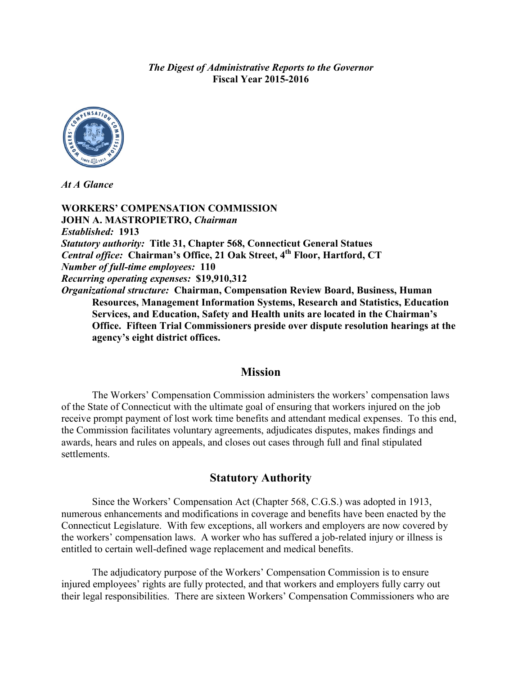*The Digest of Administrative Reports to the Governor* **Fiscal Year 2015-2016**



*At A Glance*

**WORKERS' COMPENSATION COMMISSION JOHN A. MASTROPIETRO,** *Chairman Established:* **1913** *Statutory authority:* **Title 31, Chapter 568, Connecticut General Statues** *Central office:* **Chairman's Office, 21 Oak Street, 4th Floor, Hartford, CT** *Number of full-time employees:* **110** *Recurring operating expenses:* **\$19,910,312** *Organizational structure:* **Chairman, Compensation Review Board, Business, Human Resources, Management Information Systems, Research and Statistics, Education Services, and Education, Safety and Health units are located in the Chairman's Office. Fifteen Trial Commissioners preside over dispute resolution hearings at the agency's eight district offices.**

#### **Mission**

The Workers' Compensation Commission administers the workers' compensation laws of the State of Connecticut with the ultimate goal of ensuring that workers injured on the job receive prompt payment of lost work time benefits and attendant medical expenses. To this end, the Commission facilitates voluntary agreements, adjudicates disputes, makes findings and awards, hears and rules on appeals, and closes out cases through full and final stipulated settlements.

### **Statutory Authority**

Since the Workers' Compensation Act (Chapter 568, C.G.S.) was adopted in 1913, numerous enhancements and modifications in coverage and benefits have been enacted by the Connecticut Legislature. With few exceptions, all workers and employers are now covered by the workers' compensation laws. A worker who has suffered a job-related injury or illness is entitled to certain well-defined wage replacement and medical benefits.

The adjudicatory purpose of the Workers' Compensation Commission is to ensure injured employees' rights are fully protected, and that workers and employers fully carry out their legal responsibilities. There are sixteen Workers' Compensation Commissioners who are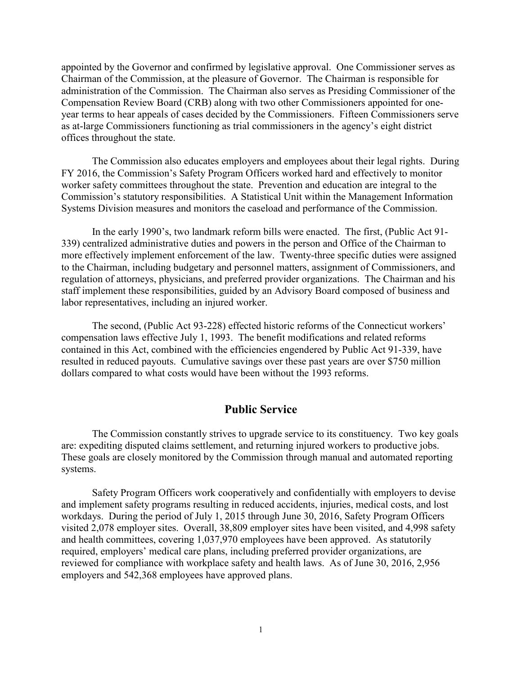appointed by the Governor and confirmed by legislative approval. One Commissioner serves as Chairman of the Commission, at the pleasure of Governor. The Chairman is responsible for administration of the Commission. The Chairman also serves as Presiding Commissioner of the Compensation Review Board (CRB) along with two other Commissioners appointed for oneyear terms to hear appeals of cases decided by the Commissioners. Fifteen Commissioners serve as at-large Commissioners functioning as trial commissioners in the agency's eight district offices throughout the state.

The Commission also educates employers and employees about their legal rights. During FY 2016, the Commission's Safety Program Officers worked hard and effectively to monitor worker safety committees throughout the state. Prevention and education are integral to the Commission's statutory responsibilities. A Statistical Unit within the Management Information Systems Division measures and monitors the caseload and performance of the Commission.

In the early 1990's, two landmark reform bills were enacted. The first, (Public Act 91- 339) centralized administrative duties and powers in the person and Office of the Chairman to more effectively implement enforcement of the law. Twenty-three specific duties were assigned to the Chairman, including budgetary and personnel matters, assignment of Commissioners, and regulation of attorneys, physicians, and preferred provider organizations. The Chairman and his staff implement these responsibilities, guided by an Advisory Board composed of business and labor representatives, including an injured worker.

The second, (Public Act 93-228) effected historic reforms of the Connecticut workers' compensation laws effective July 1, 1993. The benefit modifications and related reforms contained in this Act, combined with the efficiencies engendered by Public Act 91-339, have resulted in reduced payouts. Cumulative savings over these past years are over \$750 million dollars compared to what costs would have been without the 1993 reforms.

### **Public Service**

The Commission constantly strives to upgrade service to its constituency. Two key goals are: expediting disputed claims settlement, and returning injured workers to productive jobs. These goals are closely monitored by the Commission through manual and automated reporting systems.

Safety Program Officers work cooperatively and confidentially with employers to devise and implement safety programs resulting in reduced accidents, injuries, medical costs, and lost workdays. During the period of July 1, 2015 through June 30, 2016, Safety Program Officers visited 2,078 employer sites. Overall, 38,809 employer sites have been visited, and 4,998 safety and health committees, covering 1,037,970 employees have been approved. As statutorily required, employers' medical care plans, including preferred provider organizations, are reviewed for compliance with workplace safety and health laws. As of June 30, 2016, 2,956 employers and 542,368 employees have approved plans.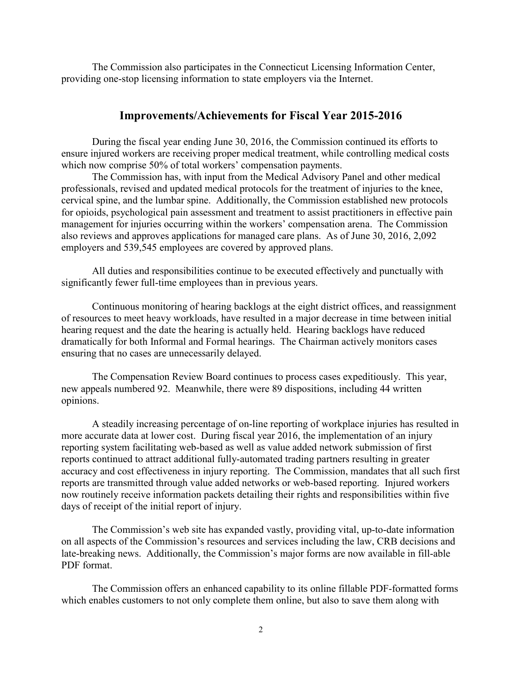The Commission also participates in the Connecticut Licensing Information Center, providing one-stop licensing information to state employers via the Internet.

### **Improvements/Achievements for Fiscal Year 2015-2016**

During the fiscal year ending June 30, 2016, the Commission continued its efforts to ensure injured workers are receiving proper medical treatment, while controlling medical costs which now comprise 50% of total workers' compensation payments.

The Commission has, with input from the Medical Advisory Panel and other medical professionals, revised and updated medical protocols for the treatment of injuries to the knee, cervical spine, and the lumbar spine. Additionally, the Commission established new protocols for opioids, psychological pain assessment and treatment to assist practitioners in effective pain management for injuries occurring within the workers' compensation arena. The Commission also reviews and approves applications for managed care plans. As of June 30, 2016, 2,092 employers and 539,545 employees are covered by approved plans.

All duties and responsibilities continue to be executed effectively and punctually with significantly fewer full-time employees than in previous years.

Continuous monitoring of hearing backlogs at the eight district offices, and reassignment of resources to meet heavy workloads, have resulted in a major decrease in time between initial hearing request and the date the hearing is actually held. Hearing backlogs have reduced dramatically for both Informal and Formal hearings. The Chairman actively monitors cases ensuring that no cases are unnecessarily delayed.

The Compensation Review Board continues to process cases expeditiously. This year, new appeals numbered 92. Meanwhile, there were 89 dispositions, including 44 written opinions.

A steadily increasing percentage of on-line reporting of workplace injuries has resulted in more accurate data at lower cost. During fiscal year 2016, the implementation of an injury reporting system facilitating web-based as well as value added network submission of first reports continued to attract additional fully-automated trading partners resulting in greater accuracy and cost effectiveness in injury reporting. The Commission, mandates that all such first reports are transmitted through value added networks or web-based reporting. Injured workers now routinely receive information packets detailing their rights and responsibilities within five days of receipt of the initial report of injury.

The Commission's web site has expanded vastly, providing vital, up-to-date information on all aspects of the Commission's resources and services including the law, CRB decisions and late-breaking news. Additionally, the Commission's major forms are now available in fill-able PDF format.

The Commission offers an enhanced capability to its online fillable PDF-formatted forms which enables customers to not only complete them online, but also to save them along with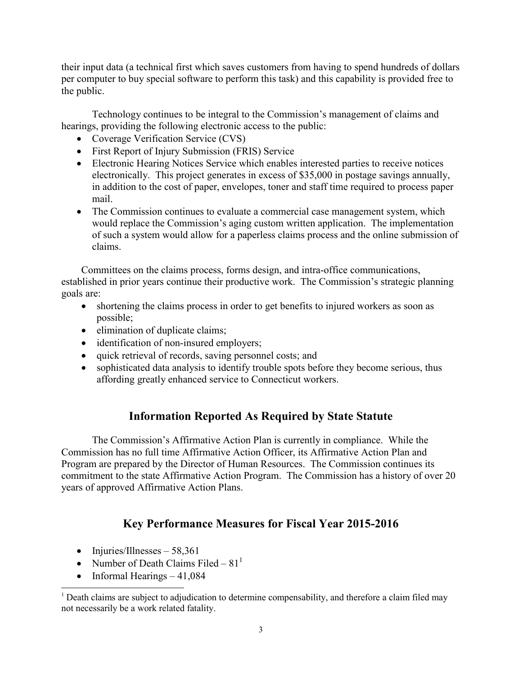their input data (a technical first which saves customers from having to spend hundreds of dollars per computer to buy special software to perform this task) and this capability is provided free to the public.

Technology continues to be integral to the Commission's management of claims and hearings, providing the following electronic access to the public:

- Coverage Verification Service (CVS)
- First Report of Injury Submission (FRIS) Service
- Electronic Hearing Notices Service which enables interested parties to receive notices electronically. This project generates in excess of \$35,000 in postage savings annually, in addition to the cost of paper, envelopes, toner and staff time required to process paper mail.
- The Commission continues to evaluate a commercial case management system, which would replace the Commission's aging custom written application. The implementation of such a system would allow for a paperless claims process and the online submission of claims.

Committees on the claims process, forms design, and intra-office communications, established in prior years continue their productive work. The Commission's strategic planning goals are:

- shortening the claims process in order to get benefits to injured workers as soon as possible;
- elimination of duplicate claims;
- identification of non-insured employers;
- quick retrieval of records, saving personnel costs; and
- sophisticated data analysis to identify trouble spots before they become serious, thus affording greatly enhanced service to Connecticut workers.

# **Information Reported As Required by State Statute**

The Commission's Affirmative Action Plan is currently in compliance. While the Commission has no full time Affirmative Action Officer, its Affirmative Action Plan and Program are prepared by the Director of Human Resources. The Commission continues its commitment to the state Affirmative Action Program. The Commission has a history of over 20 years of approved Affirmative Action Plans.

# **Key Performance Measures for Fiscal Year 2015-2016**

- Injuries/Illnesses  $58,361$
- Number of Death Claims Filed  $81<sup>1</sup>$
- Informal Hearings  $-41,084$

<sup>&</sup>lt;sup>1</sup> Death claims are subject to adjudication to determine compensability, and therefore a claim filed may not necessarily be a work related fatality.